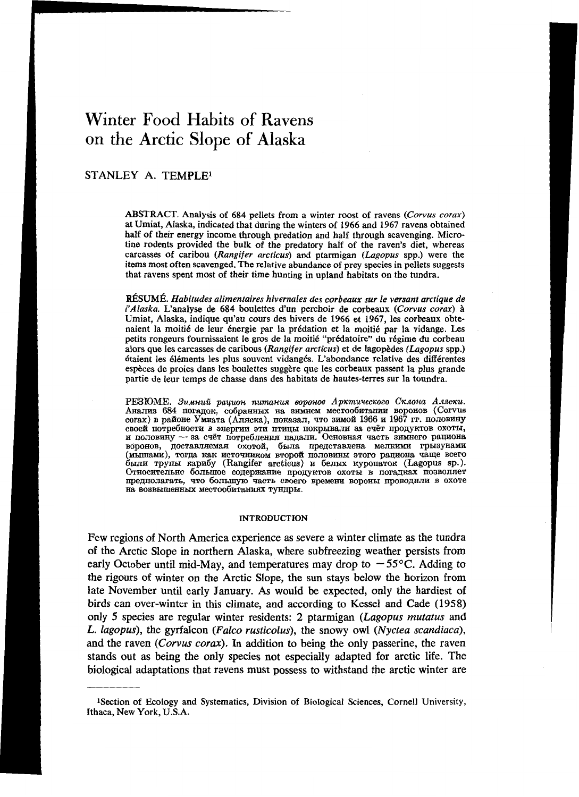# Winter Food Habits of Ravens on the Arctic Slope of Alaska

## STANLEY A. TEMPLE<sup>1</sup>

ABSTRACT. Analysis of 684 pellets from a winter roost of ravens (Corvus corax) at Umiat, Alaska, indicated that during the winters of 1966 and 1967 ravens obtained half of their energy income through predation and half through scavenging. Microtine rodents provided the bulk of the predatory half of the raven's diet, whereas carcasses of caribou (Rangifer arcticus) and ptarmigan (Lagopus spp.) were the items most often scavenged. The relative abundance of prey species in pellets suggests that ravens spent most of their time hunting in upland habitats on the tundra.

RÉSUMÉ. Habitudes alimentaires hivernales des corbeaux sur le versant arctique de l'Alaska. L'analyse de 684 boulettes d'un perchoir de corbeaux (Corvus corax) à Umiat, Alaska, indique qu'au cours des hivers de 1966 et 1967, les corbeaux obtenaient la moitié de leur énergie par la prédation et la moitié par la vidange. Les petits rongeurs fournissaient le gros de la moitié "prédatoire" du régime du corbeau alors que les carcasses de caribous (Rangifer arcticus) et de lagopèdes (Lagopus spp.) étaient les éléments les plus souvent vidangés. L'abondance relative des différentes espèces de proies dans les boulettes suggère que les corbeaux passent la plus grande partie de leur temps de chasse dans des habitats de hautes-terres sur la toundra.

РЕЗЮМЕ. Зимний рацион питания воронов Арктического Склона Аляски. Анализ 684 погадок, собранных на зимнем местообитании воронов (Corvus согах) в районе Умиата (Аляска), показал, что зимой 1966 и 1967 гг. половину своей потребности в энергии эти птицы покрывали за счёт продуктов охоты, и половину - за счёт потребления падали. Основная часть зимнего рациона нопольную поставляемая охотой, была представлена мелкими грызунами были трупы карибу (Rangifer arcticus) и белых куропаток (Lagopus sp.). Относительно большое содержание продуктов охоты в погадках позволяет предполагать, что большую часть своего времени вороны проводили в охоте на возвышенных местообитаниях тундры.

#### **INTRODUCTION**

Few regions of North America experience as severe a winter climate as the tundra of the Arctic Slope in northern Alaska, where subfreezing weather persists from early October until mid-May, and temperatures may drop to  $-55^{\circ}$ C. Adding to the rigours of winter on the Arctic Slope, the sun stays below the horizon from late November until early January. As would be expected, only the hardiest of birds can over-winter in this climate, and according to Kessel and Cade (1958) only 5 species are regular winter residents: 2 ptarmigan (Lagopus mutatus and L. lagopus), the gyrfalcon (Falco rusticolus), the snowy owl (Nyctea scandiaca), and the raven (Corvus corax). In addition to being the only passerine, the raven stands out as being the only species not especially adapted for arctic life. The biological adaptations that ravens must possess to withstand the arctic winter are

<sup>&</sup>lt;sup>1</sup>Section of Ecology and Systematics, Division of Biological Sciences, Cornell University, Ithaca, New York, U.S.A.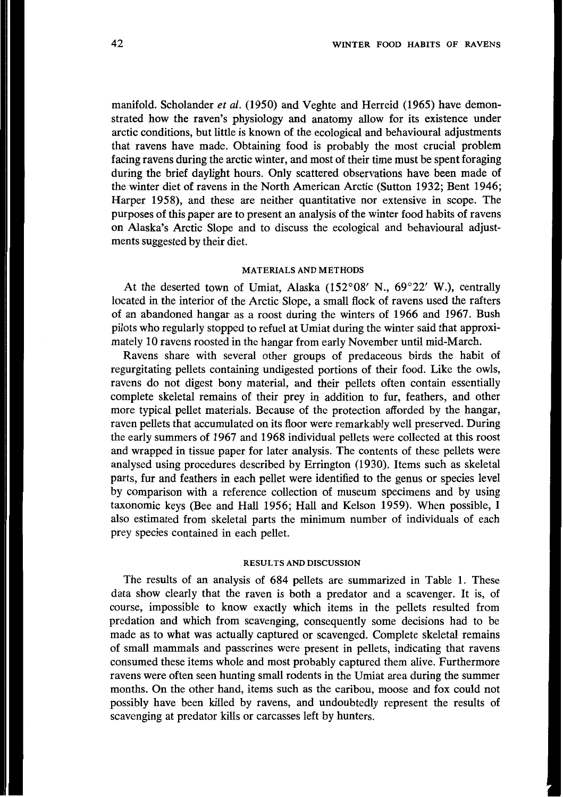manifold. Scholander *et al.* **(1950)** and Veghte and Herreid **(1965)** have demonstrated how the raven's physiology and anatomy allow for its existence under arctic conditions, but little is known of the ecological and behavioural adjustments that ravens have made. Obtaining food is probably the most crucial problem facing ravens during the arctic winter, and most of their time must be spent foraging during the brief daylight hours. Only scattered observations have been made of the winter diet of ravens in the North American Arctic (Sutton **1932;** Bent **1946;**  Harper **1958),** and these are neither quantitative nor extensive in scope. The purposes of this paper are to present an analysis of the winter food habits of ravens on Alaska's Arctic Slope and to discuss the ecological and behavioural adjustments suggested by their diet.

### **MATERIALS AND METHODS**

At the deserted town of Umiat, Alaska **(152'08'** N., **69'22' W.),** centrally located in the interior of the Arctic Slope, a small flock of ravens used the rafters **of** an abandoned hangar as a roost during the winters of **1966** and **1967.** Bush pilots who regularly stopped to refuel at Umiat during the winter said that approximately **10** ravens roosted in the hangar from early November until mid-March.

Ravens share with several other groups of predaceous birds the habit **of**  regurgitating pellets containing undigested portions of their food. Like the owls, ravens do not digest bony material, and their pellets often contain essentially complete skeletal remains of their prey in addition to fur, feathers, and other more typical pellet materials. Because of the protection afforded by the hangar, raven pellets that accumulated on its floor were remarkably well preserved. During the early summers of **1967** and **1968** individual pellets were collected at this roost and wrapped in tissue paper for later analysis. The contents of these pellets were analysed using procedures described by Errington **(1930).** Items such as skeletal parts, fur and feathers in each pellet were identified to the genus or species level by comparison with a reference collection of museum specimens and by using taxonomic keys (Bee and Hall **1956;** Hall and Kelson **1959).** When possible, **I**  also estimated from skeletal parts the minimum number of individuals of each prey species contained in each pellet.

### **RESULTS AND DISCUSSION**

The results of an analysis of **684** pellets are summarized in Table **1.** These data show clearly that the raven is both a predator and a scavenger. It is, of course, impossible to know exactly which items in the pellets resulted from predation and which from scavenging, consequently some decisions had to be made as to what was actually captured or scavenged. Complete skeletal remains of small mammals and passerines were present in pellets, indicating that ravens consumed these items whole and most probably captured them alive. Furthermore ravens were often seen hunting small rodents in the Umiat area during the summer months. On the other hand, items such as the caribou, moose and fox could not possibly have been killed by ravens, and undoubtedly represent the results of scavenging at predator kills or carcasses left by hunters.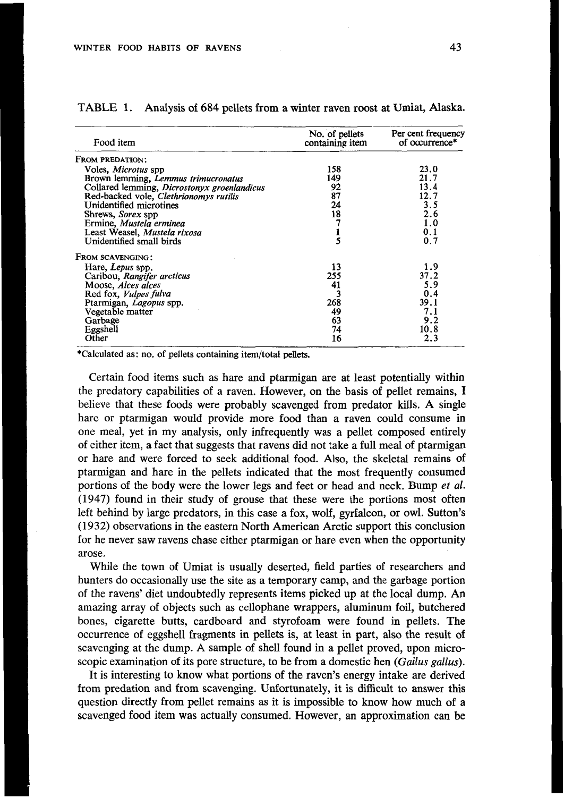| Food item                                   | No. of pellets<br>containing item | Per cent frequency<br>of occurrence* |
|---------------------------------------------|-----------------------------------|--------------------------------------|
| FROM PREDATION:                             |                                   |                                      |
| Voles, <i>Microtus</i> spp                  | 158                               | 23.0                                 |
| Brown lemming, Lemmus trimucronatus         | 149                               | 21.7                                 |
| Collared lemming, Dicrostonyx groenlandicus | 92                                | 13.4                                 |
| Red-backed vole, Clethrionomys rutilis      | 87                                | 12.7                                 |
| Unidentified microtines                     | 24                                | 3.5                                  |
| Shrews, Sorex spp                           | 18                                | 2.6                                  |
| Ermine, Mustela erminea                     |                                   | 1.0                                  |
| Least Weasel, Mustela rixosa                |                                   | 0.1                                  |
| Unidentified small birds                    | $\frac{1}{5}$                     | 0.7                                  |
| FROM SCAVENGING:                            |                                   |                                      |
| Hare, Lepus spp.                            | 13                                | 1.9                                  |
| Caribou, Rangifer arcticus                  | 255                               | 37.2                                 |
| Moose, Alces alces                          | 41                                | 5.9                                  |
| Red fox, Vulpes fulva                       | 3                                 | 0.4                                  |
| Ptarmigan, Lagopus spp.                     | 268                               | 39.1                                 |
| Vegetable matter                            | 49                                | 7.1                                  |
| Garbage                                     | 63                                | 9.2                                  |
| Eggshell                                    | 74                                | 10.8                                 |
| Other                                       | 16                                | 2.3                                  |

### TABLE **1.** Analysis of **684** pellets from a winter raven roost at Umiat, Alaska.

**\*Calculated as: no. of pellets containing item/total pellets.** 

Certain food items such as hare and ptarmigan are at least potentially within the predatory capabilities of a raven. However, on the basis of pellet remains, **I**  believe that these foods were probably scavenged from predator kills. A single hare or ptarmigan would provide more food than a raven could consume in one meal, yet in my analysis, only infrequently was a pellet composed entirely of either item, a fact that suggests that ravens did not take a full meal of ptarmigan or hare and were forced to seek additional food. Also, the skeletal remains of ptarmigan and hare in the pellets indicated that the most frequently consumed portions of the body were the lower legs and feet or head and neck. Bump *et* al. **(1947)** found in their study of grouse that these were the portions most often left behind by large predators, in this case a fox, wolf, gyrfalcon, or owl. Sutton's **(1 932)** observations in the eastern North American Arctic support *this* conclusion for he never saw ravens chase either ptarmigan or hare even when the opportunity arose.

While the town of Umiat is usually deserted, field parties of researchers and hunters do occasionally use the site as a temporary camp, and the garbage portion of the ravens' diet undoubtedly represents items picked up at the local dump. An amazing array of objects such as cellophane wrappers, aluminum foil, butchered bones, cigarette butts, cardboard and Styrofoam were found in pellets. The occurrence of eggshell fragments in pellets is, at least in part, also the result of scavenging at the dump. A sample of shell found in a pellet proved, upon microscopic examination of its pore structure, to be from a domestic hen *(Gallus gallus).* 

It is interesting to know what portions of the raven's energy intake are derived from predation and from scavenging. Unfortunately, **it** is difficult to answer this question directly from pellet remains as it is impossible to know how much of **a**  scavenged food item was actually consumed. However, an approximation can be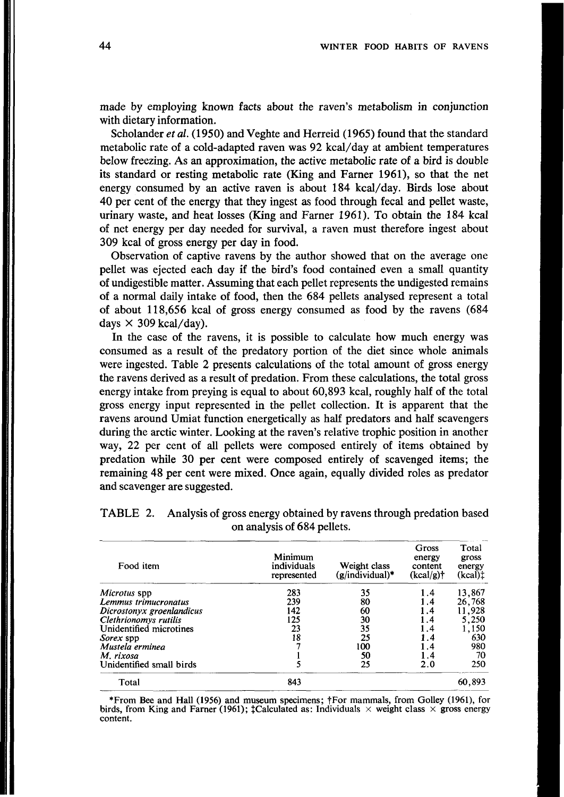made by employing known facts about the raven's metabolism in conjunction with dietary information.

Scholander *et al.* **(1950)** and Veghte and Herreid **(1965)** found that the standard metabolic rate of a cold-adapted raven was **92** kcal/day at ambient temperatures below freezing. As an approximation, the active metabolic rate of a bird is double its standard or resting metabolic rate (King and Farner **1961),** so that the net energy consumed by an active raven is about **184** kcal/day. Birds lose about **40** per cent of the energy that they ingest as food through fecal and pellet waste, urinary waste, and heat losses (King and Farner **1961).** To obtain the **184** kcal of net energy per day needed for survival, a raven must therefore ingest about **309** kcal of gross energy per day in food.

Observation of captive ravens by the author showed that on the average one pellet was ejected each day if the bird's food contained even a small quantity of undigestible matter. Assuming that each pellet represents the undigested remains of a normal daily intake of food, then the **684** pellets analysed represent a total of about **118,656** kcal of gross energy consumed as food by the ravens **(684**  days  $\times$  309 kcal/day).

In the case of the ravens, it is possible to calculate how much energy was consumed as a result of the predatory portion of the diet since whole animals were ingested. Table **2** presents calculations of the total amount of gross energy the ravens derived as a result of predation. From these calculations, the total gross energy intake from preying is equal to about **60,893** kcal, roughly half of the total gross energy input represented in the pellet collection. It is apparent that the ravens around Umiat function energetically as half predators and half scavengers during the arctic winter. Looking at the raven's relative trophic position in another way, **22** per cent of all pellets were composed entirely of items obtained by predation while 30 per cent were composed entirely of scavenged items; the remaining **48** per cent were mixed. Once again, equally divided roles as predator and scavenger are suggested.

| Food item                 | Minimum<br>individuals<br>represented | Weight class<br>$(g/individual)*$ | Gross<br>energy<br>content<br>$(kcal/g)$ † | Total<br>gross<br>energy<br>(kcal) |
|---------------------------|---------------------------------------|-----------------------------------|--------------------------------------------|------------------------------------|
| Microtus spp              | 283                                   | 35                                | 1.4                                        | 13,867                             |
| Lemmus trimucronatus      | 239                                   | 80                                | 1.4                                        | 26,768                             |
| Dicrostonyx groenlandicus | 142                                   | 60                                | 1.4                                        | 11,928                             |
| Clethrionomys rutilis     | 125                                   | 30                                | 1.4                                        | 5.250                              |
| Unidentified microtines   | 23                                    | 35                                | 1.4                                        | 1,150                              |
| Sorex spp                 | 18                                    | 25                                | 1.4                                        | 630                                |
| Mustela erminea           |                                       | 100                               | 1.4                                        | 980                                |
| M. rixosa                 |                                       | 50                                | 1.4                                        | 70                                 |
| Unidentified small birds  |                                       | 25                                | 2.0                                        | 250                                |
| Total                     | 843                                   |                                   |                                            | 60,893                             |

TABLE 2. Analysis of gross energy obtained by ravens through predation based on analysis of 684 pellets.

**\*From Bee and Hall (1956) and museum specimens; ?For mammals, from Golley (1961), for**  birds, from King and Farner (1961);  $\sharp$ Calculated as: Individuals  $\times$  weight class  $\times$  gross energy **content.**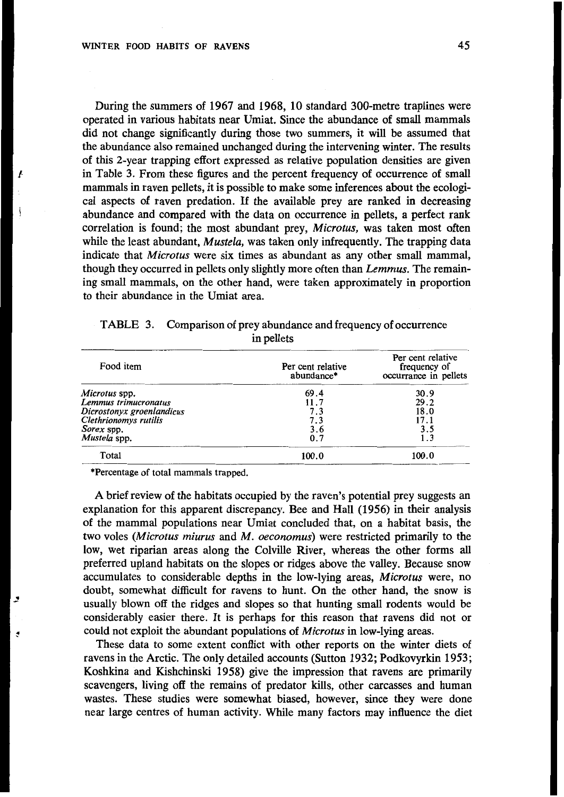During the summers of 1967 and 1968, 10 standard 300-metre traplines were operated in various habitats near Umiat. Since the abundance of small mammals did not change significantly during those two summers, it will be assumed that the abundance also remained unchanged during the intervening winter. The results of this 2-year trapping effort expressed as relative population densities are given in Table 3. From these figures and the percent frequency of occurrence of small mammals in raven pellets, it is possible to make some inferences about the ecological aspects of raven predation. If the available prey are ranked in decreasing abundance and compared with the data on occurrence in pellets, a perfect rank correlation is found; the most abundant prey, *Microtus*, was taken most often while the least abundant, *Mustela*, was taken only infrequently. The trapping data indicate that *Microtus* were six times as abundant as any other small mammal, though they occurred in pellets only slightly more often than *Lemmus.* The remaining small mammals, on the other hand, were taken approximately in proportion to their abundance in the Umiat area.

| Food item                 | Per cent relative<br>abundance* | Per cent relative<br>frequency of<br>occurrance in pellets |
|---------------------------|---------------------------------|------------------------------------------------------------|
| Microtus spp.             | 69.4                            | 30.9                                                       |
| Lemmus trimucronatus      | 11.7                            | 29.2                                                       |
| Dicrostonyx groenlandicus | 7.3                             | 18.0                                                       |
| Clethrionomys rutilis     | 7.3                             | 17.1                                                       |
| Sorex spp.                | 3.6                             | 3.5                                                        |
| Mustela spp.              | 0.7                             |                                                            |
| Total                     | 100.0                           | 100.0                                                      |

TABLE 3. Comparison of prey abundance and frequency of occurrence in pellets

**\*Percentage of total mammals trapped.** 

A brief review of the habitats occupied by the raven's potential prey suggests an explanation for this apparent discrepancy. Bee and Hall (1956) in their analysis of the mammal populations near Umiat concluded that, on a habitat basis, the two voles (Microtus miurus and M. oeconomus) were restricted primarily to the low, wet riparian areas along the Colville River, whereas the other forms all preferred upland habitats on the slopes or ridges above the valley. Because snow accumulates to considerable depths in the low-lying areas, *Microtus* were, no doubt, somewhat difficult for ravens to hunt. On the other hand, the snow is usually blown off the ridges and slopes so that hunting small rodents would be considerably easier there. It is perhaps for this reason that ravens did not or could not exploit the abundant populations of *Microtus* in low-lying areas.

These data to some extent conflict with other reports on the winter diets of ravens in the Arctic. The only detailed accounts (Sutton 1932; Podkovyrkin 1953; Koshkina and Kishchinski 1958) give the impression that ravens are primarily scavengers, living off the remains of predator kills, other carcasses and human wastes. These studies were somewhat biased, however, since they were done near large centres of human activity. While many factors may influence the diet